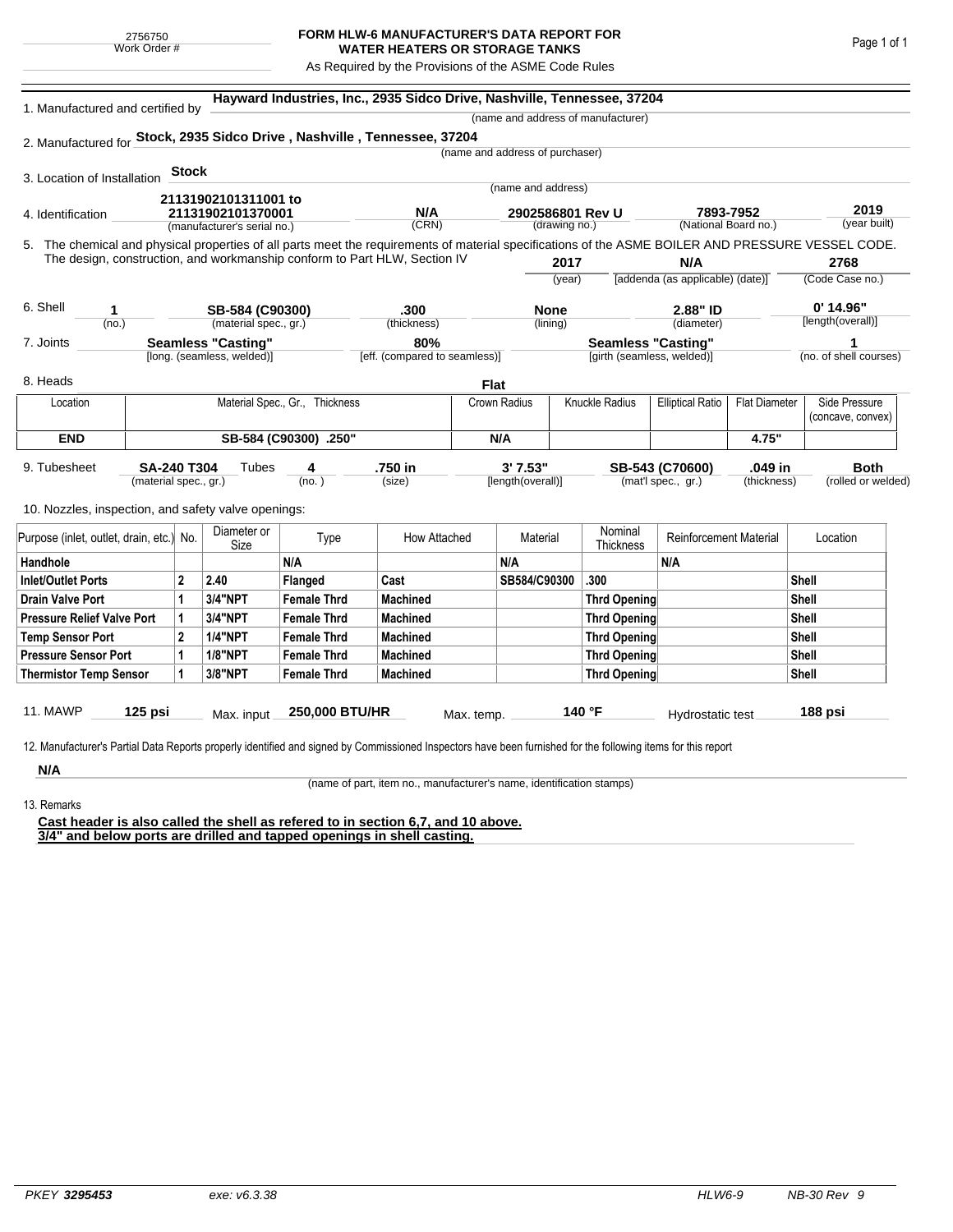## **FORM HLW-6 MANUFACTURER'S DATA REPORT FOR WATER HEATERS OR STORAGE TANKS**

As Required by the Provisions of the ASME Code Rules

| 1. Manufactured and certified by                                                                                                                   |  |                                                                          |                            |                                |                               |          |                                 |        | (name and address of manufacturer) |                                   |                      |              |                        |
|----------------------------------------------------------------------------------------------------------------------------------------------------|--|--------------------------------------------------------------------------|----------------------------|--------------------------------|-------------------------------|----------|---------------------------------|--------|------------------------------------|-----------------------------------|----------------------|--------------|------------------------|
| 2. Manufactured for Stock, 2935 Sidco Drive, Nashville, Tennessee, 37204                                                                           |  |                                                                          |                            |                                |                               |          |                                 |        |                                    |                                   |                      |              |                        |
|                                                                                                                                                    |  |                                                                          |                            |                                |                               |          | (name and address of purchaser) |        |                                    |                                   |                      |              |                        |
| 3. Location of Installation                                                                                                                        |  | <b>Stock</b>                                                             |                            |                                |                               |          |                                 |        |                                    |                                   |                      |              |                        |
|                                                                                                                                                    |  |                                                                          |                            |                                |                               |          | (name and address)              |        |                                    |                                   |                      |              |                        |
| 4. Identification                                                                                                                                  |  | 21131902101311001 to<br>21131902101370001<br>(manufacturer's serial no.) |                            |                                | N/A                           |          | 2902586801 Rev U                |        |                                    | 7893-7952                         |                      | 2019         |                        |
|                                                                                                                                                    |  |                                                                          |                            |                                | (CRN)                         |          | (drawing no.)                   |        |                                    | (National Board no.)              |                      |              | (year built)           |
| 5. The chemical and physical properties of all parts meet the requirements of material specifications of the ASME BOILER AND PRESSURE VESSEL CODE. |  |                                                                          |                            |                                |                               |          |                                 |        |                                    |                                   |                      |              |                        |
| The design, construction, and workmanship conform to Part HLW, Section IV                                                                          |  |                                                                          |                            |                                |                               | 2017     |                                 |        | N/A                                |                                   |                      | 2768         |                        |
|                                                                                                                                                    |  |                                                                          |                            |                                |                               |          |                                 | (year) |                                    | [addenda (as applicable) (date)]  |                      |              | (Code Case no.)        |
| 6. Shell<br>1                                                                                                                                      |  |                                                                          | SB-584 (C90300)            |                                | .300                          |          | <b>None</b>                     |        |                                    | 2.88" ID                          |                      |              | $0'$ 14.96"            |
| (no.)                                                                                                                                              |  | (material spec., gr.)                                                    |                            | (thickness)                    |                               | (lining) |                                 |        | (diameter)                         |                                   | [length(overall)]    |              |                        |
| 7. Joints                                                                                                                                          |  |                                                                          | <b>Seamless "Casting"</b>  |                                | 80%                           |          |                                 |        |                                    | <b>Seamless "Casting"</b>         |                      |              |                        |
|                                                                                                                                                    |  |                                                                          | [long. (seamless, welded)] |                                | [eff. (compared to seamless)] |          |                                 |        | [girth (seamless, welded)]         |                                   |                      |              | (no. of shell courses) |
| 8. Heads                                                                                                                                           |  |                                                                          |                            |                                |                               |          | <b>Flat</b>                     |        |                                    |                                   |                      |              |                        |
| Location                                                                                                                                           |  |                                                                          |                            | Material Spec., Gr., Thickness |                               |          | Crown Radius                    |        | <b>Knuckle Radius</b>              | <b>Elliptical Ratio</b>           | <b>Flat Diameter</b> |              | Side Pressure          |
|                                                                                                                                                    |  |                                                                          |                            |                                |                               |          |                                 |        |                                    |                                   |                      |              | (concave, convex)      |
| <b>END</b><br>SB-584 (C90300) .250"                                                                                                                |  |                                                                          |                            |                                |                               |          | N/A                             |        |                                    | 4.75"                             |                      |              |                        |
| 9. Tubesheet                                                                                                                                       |  | <b>SA-240 T304</b><br>Tubes<br>4                                         |                            |                                | .750 in                       |          | 3'7.53"                         |        | .049 in<br>SB-543 (C70600)         |                                   |                      | <b>Both</b>  |                        |
|                                                                                                                                                    |  | (material spec., gr.)                                                    |                            | (no. )                         | (size)                        |          | [length(overall)]               |        |                                    | (mat'l spec., gr.)<br>(thickness) |                      |              | (rolled or welded)     |
|                                                                                                                                                    |  |                                                                          |                            |                                |                               |          |                                 |        |                                    |                                   |                      |              |                        |
| 10. Nozzles, inspection, and safety valve openings:                                                                                                |  |                                                                          |                            |                                |                               |          |                                 |        |                                    |                                   |                      |              |                        |
| Purpose (inlet, outlet, drain, etc.) No.                                                                                                           |  |                                                                          | Diameter or<br>Size        | Type                           | How Attached                  |          | Material                        |        | Nominal<br><b>Thickness</b>        | Reinforcement Material            |                      | Location     |                        |
| Handhole                                                                                                                                           |  |                                                                          |                            | N/A                            |                               |          | N/A                             |        |                                    | N/A                               |                      |              |                        |
| <b>Inlet/Outlet Ports</b>                                                                                                                          |  | $\mathbf 2$                                                              | 2.40                       | Flanged                        | Cast                          |          | SB584/C90300                    |        | .300                               |                                   |                      | <b>Shell</b> |                        |
| <b>Drain Valve Port</b>                                                                                                                            |  | 1                                                                        | 3/4"NPT                    | <b>Female Thrd</b>             | <b>Machined</b>               |          |                                 |        | <b>Thrd Opening</b>                |                                   |                      | Shell        |                        |
| <b>Pressure Relief Valve Port</b>                                                                                                                  |  | 1                                                                        | 3/4"NPT                    | <b>Female Thrd</b>             | <b>Machined</b>               |          |                                 |        | <b>Thrd Opening</b>                |                                   |                      | <b>Shell</b> |                        |
| <b>Temp Sensor Port</b>                                                                                                                            |  | $\mathbf{2}$                                                             | <b>1/4"NPT</b>             | <b>Female Thrd</b>             | <b>Machined</b>               |          |                                 |        | <b>Thrd Opening</b>                |                                   | Shell                |              |                        |
| <b>Pressure Sensor Port</b>                                                                                                                        |  | 1                                                                        | <b>1/8"NPT</b>             | <b>Female Thrd</b>             | <b>Machined</b>               |          |                                 |        | <b>Thrd Opening</b>                |                                   | <b>Shell</b>         |              |                        |
| <b>Thermistor Temp Sensor</b>                                                                                                                      |  | 1                                                                        | 3/8"NPT                    | <b>Female Thrd</b>             | <b>Machined</b>               |          |                                 |        | <b>Thrd Opening</b>                |                                   | Shell                |              |                        |
|                                                                                                                                                    |  |                                                                          |                            |                                |                               |          |                                 |        |                                    |                                   |                      |              |                        |
|                                                                                                                                                    |  |                                                                          |                            |                                |                               |          |                                 |        |                                    |                                   |                      |              |                        |

**N/A** 13. Remarks

(name of part, item no., manufacturer's name, identification stamps)

**Cast header is also called the shell as refered to in section 6,7, and 10 above. 3/4" and below ports are drilled and tapped openings in shell casting.**